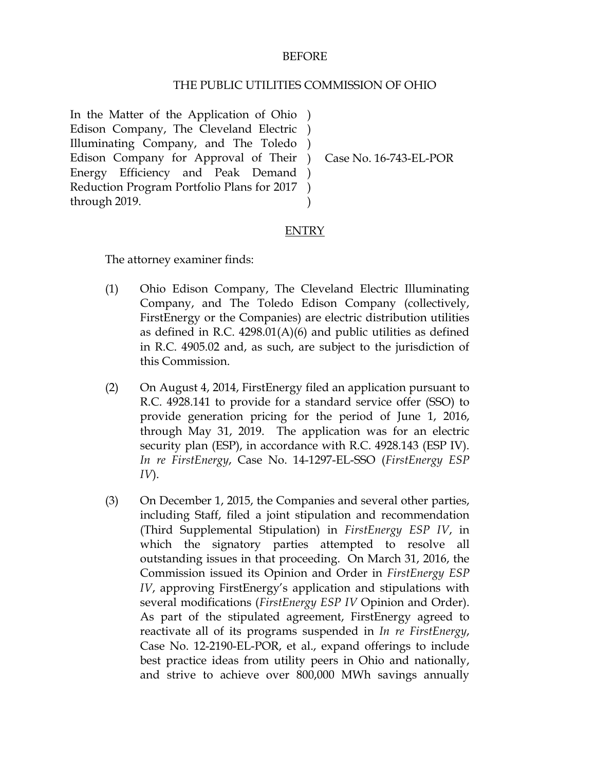### BEFORE

#### THE PUBLIC UTILITIES COMMISSION OF OHIO

In the Matter of the Application of Ohio ) Edison Company, The Cleveland Electric ) Illuminating Company, and The Toledo ) Edison Company for Approval of Their ) Energy Efficiency and Peak Demand ) Reduction Program Portfolio Plans for 2017 ) through 2019. )

Case No. 16-743-EL-POR

### ENTRY

The attorney examiner finds:

- (1) Ohio Edison Company, The Cleveland Electric Illuminating Company, and The Toledo Edison Company (collectively, FirstEnergy or the Companies) are electric distribution utilities as defined in R.C. 4298.01(A)(6) and public utilities as defined in R.C. 4905.02 and, as such, are subject to the jurisdiction of this Commission.
- (2) On August 4, 2014, FirstEnergy filed an application pursuant to R.C. 4928.141 to provide for a standard service offer (SSO) to provide generation pricing for the period of June 1, 2016, through May 31, 2019. The application was for an electric security plan (ESP), in accordance with R.C. 4928.143 (ESP IV). *In re FirstEnergy*, Case No. 14-1297-EL-SSO (*FirstEnergy ESP IV*).
- (3) On December 1, 2015, the Companies and several other parties, including Staff, filed a joint stipulation and recommendation (Third Supplemental Stipulation) in *FirstEnergy ESP IV*, in which the signatory parties attempted to resolve all outstanding issues in that proceeding. On March 31, 2016, the Commission issued its Opinion and Order in *FirstEnergy ESP IV*, approving FirstEnergy's application and stipulations with several modifications (*FirstEnergy ESP IV* Opinion and Order). As part of the stipulated agreement, FirstEnergy agreed to reactivate all of its programs suspended in *In re FirstEnergy*, Case No. 12-2190-EL-POR, et al., expand offerings to include best practice ideas from utility peers in Ohio and nationally, and strive to achieve over 800,000 MWh savings annually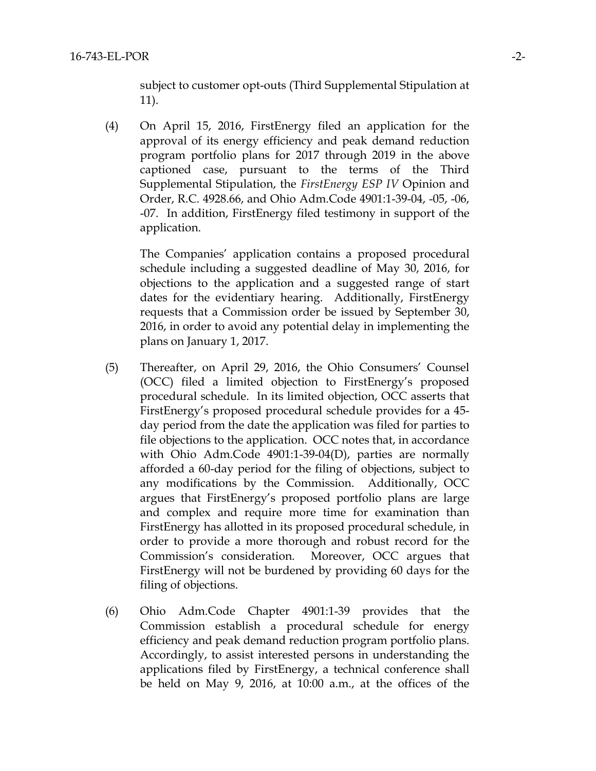subject to customer opt-outs (Third Supplemental Stipulation at 11).

(4) On April 15, 2016, FirstEnergy filed an application for the approval of its energy efficiency and peak demand reduction program portfolio plans for 2017 through 2019 in the above captioned case, pursuant to the terms of the Third Supplemental Stipulation, the *FirstEnergy ESP IV* Opinion and Order, R.C. 4928.66, and Ohio Adm.Code 4901:1-39-04, -05, -06, -07. In addition, FirstEnergy filed testimony in support of the application.

The Companies' application contains a proposed procedural schedule including a suggested deadline of May 30, 2016, for objections to the application and a suggested range of start dates for the evidentiary hearing. Additionally, FirstEnergy requests that a Commission order be issued by September 30, 2016, in order to avoid any potential delay in implementing the plans on January 1, 2017.

- (5) Thereafter, on April 29, 2016, the Ohio Consumers' Counsel (OCC) filed a limited objection to FirstEnergy's proposed procedural schedule. In its limited objection, OCC asserts that FirstEnergy's proposed procedural schedule provides for a 45 day period from the date the application was filed for parties to file objections to the application. OCC notes that, in accordance with Ohio Adm.Code 4901:1-39-04(D), parties are normally afforded a 60-day period for the filing of objections, subject to any modifications by the Commission. Additionally, OCC argues that FirstEnergy's proposed portfolio plans are large and complex and require more time for examination than FirstEnergy has allotted in its proposed procedural schedule, in order to provide a more thorough and robust record for the Commission's consideration. Moreover, OCC argues that FirstEnergy will not be burdened by providing 60 days for the filing of objections.
- (6) Ohio Adm.Code Chapter 4901:1-39 provides that the Commission establish a procedural schedule for energy efficiency and peak demand reduction program portfolio plans. Accordingly, to assist interested persons in understanding the applications filed by FirstEnergy, a technical conference shall be held on May 9, 2016, at 10:00 a.m., at the offices of the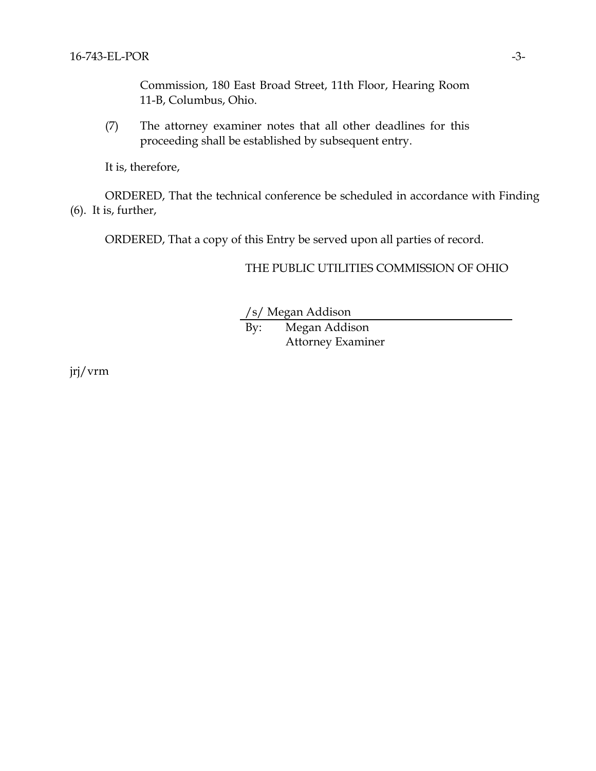Commission, 180 East Broad Street, 11th Floor, Hearing Room 11-B, Columbus, Ohio.

(7) The attorney examiner notes that all other deadlines for this proceeding shall be established by subsequent entry.

It is, therefore,

ORDERED, That the technical conference be scheduled in accordance with Finding (6). It is, further,

ORDERED, That a copy of this Entry be served upon all parties of record.

## THE PUBLIC UTILITIES COMMISSION OF OHIO

/s/ Megan Addison

By: Megan Addison Attorney Examiner

jrj/vrm